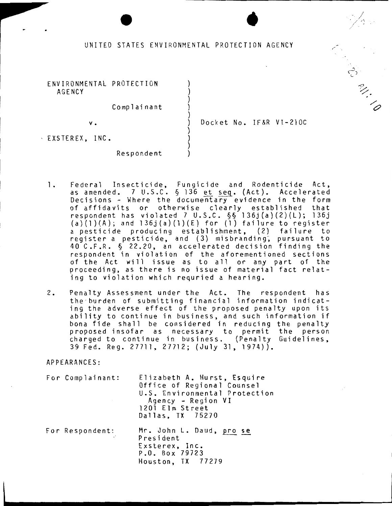# $\bullet$ UNITED STATES ENVIRONMENTAL PROTECTION AGENCY

)

)

)

)

ENVIRONMENTAL PROTECTION ) AGENCY )

Complainant )

v. ) Docket No. IF&R VI-210C

Contractor

 $\cdot$  EXSTEREX, INC.

Respondent )

- 1. Federal Insecticide, Fungicide and Rodenticide Act, as amended. 7 U.S.C. § 136 <u>et seq</u>. (Act). Accelerated Decisions - Where the documentary evidence in the form of affidavits or otherwise clearly established that respondent has violated 7 U.S.C. §§ l36j(a)(2)(L); l36j (a)(1)(A); and  $136j(a)(1)(E)$  for (1) failure to register a pesticide producing establishment, (2) failure to register a pesticide, and (3) misbranding, pursuant to 40 C.F.R. § 22.20, an accelerated decision finding the respondent in violation of the aforementioned sections of the Act will issue as to all or any part of the proceeding, as there is no issue of material fact relating to violation which requried a hearing.
- 2. Penalty Assessment under the Act. The respondent has the - burden of submitting financial information indicating the adverse effect of the proposed penalty upon its ability to continue in business, and such information if bona fide shall be considered in reducing the penalty proposed insofar as necessary to permit the person charged to continue in business. (Penalty Guidelines, 39 Fed. Reg. 27711, 27712; (July 31, 1974)).

APPEARANCES:

For Complainant: For Respondent: Elizabeth A. Hurst, Esquire Office of Regional Counsel U.S. Environmental Protection Agency - Region VI 1201 Elm Street Dallas, TX 75270 Mr. John L. Daud, pro se President Exsterex, Inc. P.O. Box 79723 Houston, TX 77279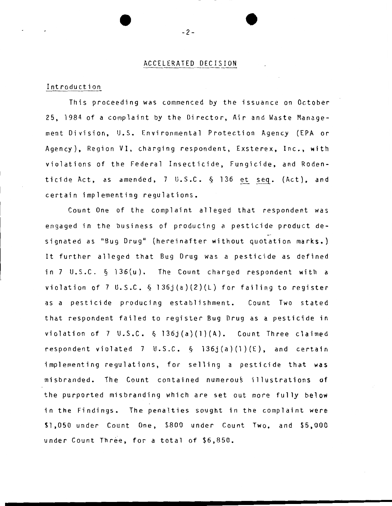### ACCELERATED DECISION

#### Introduction

This proceeding was commenced by the issuance on October 25, 1984 of a complaint by the Director, Air and Waste Management Division, U.S. Environmental Protection Agency (EPA or Agency), Region VI, charging respondent, Exsterex, Inc., with violations of the Federal Insecticide, Fungicide, and Rodenticide Act, as amended,  $7 \text{ U.S.C. } \S$  136 et seq. (Act), and certain implementing regulations.

Count One of the complaint alleged that respondent was engaged in the business of producing a pesticide product designated as "Bug Drug" (hereinafter without quotation marks.) It further alleged that Bug Drug was a pesticide as defined in 7 U.S.C. § 136(u). The Count charged respondent with a violation of 7 U.S.C.  $\S$  136j(a)(2)(L) for failing to register as a pesticide producing establishment. Count Two stated that respondent failed to register Bug Drug as a pesticide in violation of 7 U.S.C. § 136j(a)(l)(A). Count Three claimed respondent violated 7 U.S.C.  $\S$  136j(a)(1)(E), and certain implementing regulations, for selling a pesticide that was misbranded. The Count contained numerous illustrations of the purported misbranding which are set out more fully below in the Findings. The penalties sought in the complaint were \$1,050 under Count One, \$800 under Count Two, and \$5,000 under Count Three, for a total of \$6,850.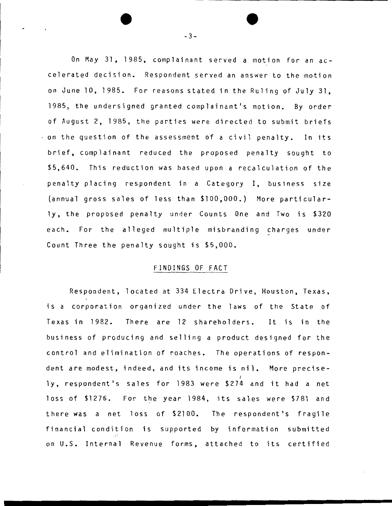On May 31, 1985, complainant served a motion for an accelerated decision. Respondent served an answer to the motion on June 10, 1985. For reasons stated in the Ruling of July 31, 1985, the undersigned granted complainant's motion. By order of August 2, 1985, the parties were directed to submit briefs on the question of the assessment of a civil penalty. In its brief, complainant reduced the proposed penalty sought to \$5,640. This reduction was based upon a recalculation of the penalty placing respondent in a Category I, business size (annual gross sales of less than \$100,000.) More particularly, the proposed penalty under Counts One and Two is \$320 each. For the alleged multiple misbranding charges under Count Three the penalty sought is \$5,000.

# FINDINGS OF FACT

Respondent, located at 334 Electra Drive, Houston, Texas, is a corporation organized under the laws of the State of Texas in 1982. There are 12 shareholders. It is in the business of producing and selling a product designed for the control and elimination of roaches. The operations of respondent are modest, indeed, and its income is nil. More precise ly, respondent's sales for 1983 were \$274 and it had a net loss of \$1276. For the year 1984, its sales were \$781 and there was a net loss of \$2100. The respondent's fragile financial condition is supported by information submitted on U.S. Internal Revenue forms, attached to its certified

-3-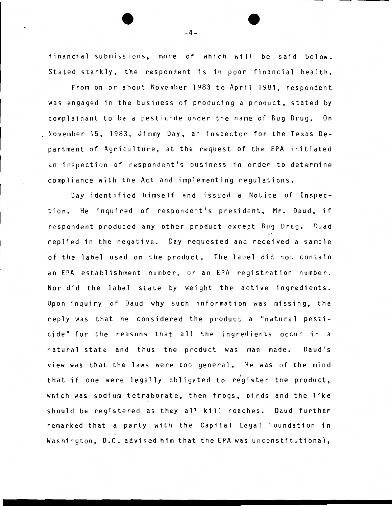financial submissions, more of which will be said below. Stated starkly, the respondent is in poor financial health.

From on or about November 1983 to April 1984, respondent was engaged in the business of producing a product, stated by complainant to be a pesticide under the name of Bug Drug. On November 15, 1983, Jimmy Day, an inspector for the Texas Department of Agriculture, at the request of the EPA initiated an inspection of respondent's business in order to determine compliance with the Act and implementing regulations.

Day identified himself and issued a Notice of Inspection. He inquired of respondent's president, Mr. Daud, if respondent produced any other product except Bug Drug. Duad replied in the negative. Day requested and received a sample of the label used on the product. The label did not contain an EPA establishment number, or an EPA registration number. Nor did the label state by weight the active ingredients. Upon inquiry of Daud why such information was missing, the reply was that he considered the product a "natural pesticide" for the reasons that all the ingredients occur in a natural state and thus the product was man made. Daud's view was that the laws were too general. He was of the mind that if one were legally obligated to register the product, which was sodium tetraborate, then frogs, birds and the like should be registered as they all kill roaches. Oaud further remarked that a party with the Capital Legal Foundation in Washington, D.C. advised him that the EPA was unconstitutional,

 $-4-$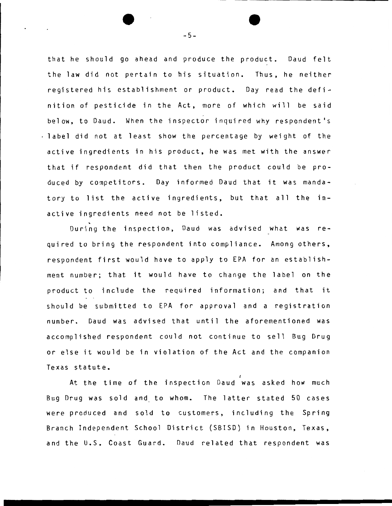that he should go ahead and produce the product. Daud felt the law did not pertain to his situation. Thus, he neither registered his establishment or product. Day read the definition of pesticide in the Act, more of which will be said below, to Daud. When the inspector inquired why respondent's label did not at least show the percentage by weight of the active ingredients in his product, he was met with the answer that if respondent did that then the product could be produced by competitors. Day informed Oaud that it was mandatory to list the active ingredients, but that all the inactive ingredients need not be listed.

During the inspection, Daud was advised what was required to bring the respondent into compliance. Among others, respondent first would have to apply to EPA for an establishment number; that it would have to change the label on the product to include the required information; and that it should be submitted to EPA for approval and a registration number. Daud was advised that until the aforementioned was accomplished respondent could not continue to sell Bug Drug or else it would be in violation of the Act and the companion Texas statute.

At the time of the inspection Daud was asked how much Bug Drug was sold and to whom. The latter stated 50 cases were produced and sold to customers, including the Spring Branch Independent School District (SBISD) in Houston, Texas, and the U.S. Coast Guard. Oaud related that respondent was

-5-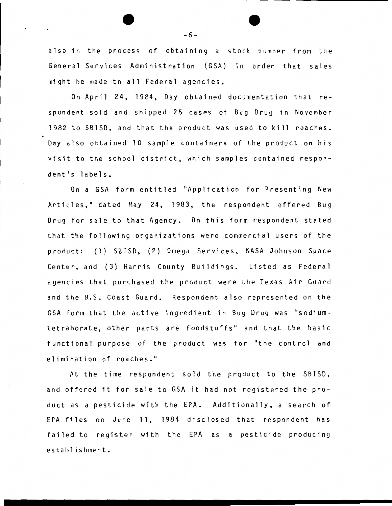also in the process of obtaining a stock number from the General Services Administration (GSA) in order that sales might be made to all Federal agencies.

On April 24, 1984, Day obtained documentation that respondent sold and shipped 25 cases of Bug Drug in November 1982 to SBISD, and that the product was used to kill roaches. Day also obtained 10 sample containers of the product on his visit to the school district, which samples contained respondent's labels.

On a GSA form entitled "Application for Presenting New Articles," dated May 24, 1983, the respondent offered Bug Drug for sale to that Agency. On this form respondent stated that the following organizations were commercial users of the product: (1) SBISO, (2) Omega Services, NASA Johnson Space Center, and (3) Harris County Buildings. Listed as Federal agencies that purchased the product were the Texas Air Guard and the U.S. Coast Guard. Respondent also represented on the GSA form that the active ingredient in Bug Drug was "sodiumtetraborate, other parts are foodstuffs" and that the basic functional purpose of the product was for "the control and elimination of roaches."

At the time respondent sold the prqduct to the SBISO, and offered it for sale to GSA it had not registered the product as a pesticide wfth the EPA. Additionally, a search of EPA files on June 11, 1984 disclosed that respondent has failed to register with the EPA as a pesticide producing establishment.

-6-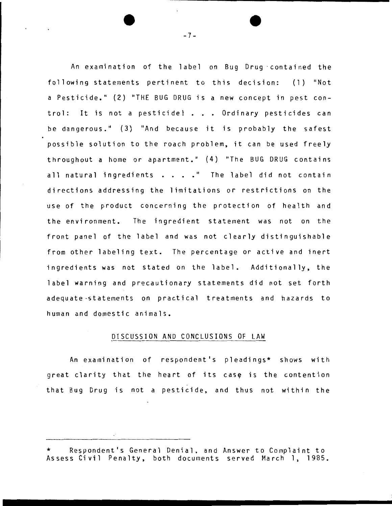An examination of the label on Bug Drug · contained the following statements pertinent to this decision: (1) "Not a Pesticide." (2) "THE BUG DRUG is a new concept in pest control: It is not a pesticide! . . . Ordinary pesticides can be dangerous." (3) "And because it is probably the safest possible solution to the roach problem, it can be used freely throughout a home or apartment." (4) "The BUG DRUG contains all natural ingredients  $\ldots$   $\ldots$  The label did not contain directions addressing the limitations or restrictions on the use of the product concerning the protection of health and the environment. The ingredient statement was not on the front panel of the label and was not clearly distinguishable from other labeling text. The percentage or active and inert ingredients was not stated on the label. Additionally, the label warning and precautionary statements did not set forth adequate -statements on practical treatments and hazards to human and domestic animals.

#### DISCUSSION AND CONCLUSIONS OF LAW

An examination of respondent's pleadings\* shows with great clarity that the heart of its case is the contention that Bug Drug is not a pesticide, and thus not within the

Respondent's General Denial, and Answer to Complaint to Assess Civil Penalty, both documents served March 1, 1985.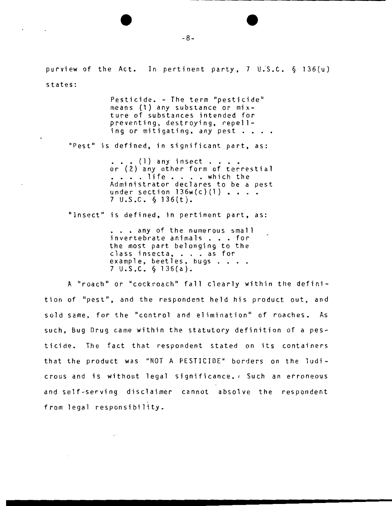purview of the Act. In pertinent party,  $7 \text{ U.S.C. } \S 136(u)$ states:

Pesticide. - The term "pesticide" means (1) any substance or mixture of substances intended for preventing, destroying, repelling or mitigating, any pest  $\cdots$ "Pest" is defined, in significant part, as:  $\ldots$  . (1) any insect  $\ldots$  . . or (2) any other form of terrestial<br>
....life .... which the<br>
Administrator doclares to be a nest . . . . life . . . . which the<br>Administrator declares to be a pest under section  $136w(c)(1)$  . . . . <sup>7</sup>u.s.c. § 136(t).

"Insect" is defined, in pertinent part, as:

 $\ldots$  any of the numerous small invertebrate animals . . . for the most part belonging to the class insecta, . . . as for example, beetles, bugs . . . . 7 U.S.C. § 136{a).

A "roach" or "cockroach" fall clearly within the definition of "pest", and the respondent held his product out, and sold same, for the "control and elimination" of roaches. As such, Bug Drug came within the statutory definition of a pesticide. The fact that respondent stated on its containers that the product was "NOT A PESTICIDE" borders on the ludicrous and is without legal significance. A Such an erroneous and self-serving disclaimer cannot absolve the respondent from legal responsibility.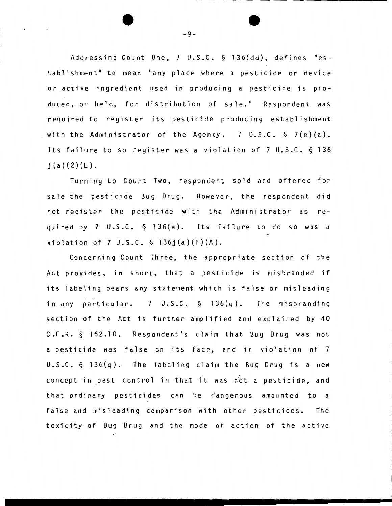Addressing Count One, 7 U.S.C. § 136(dd), defines "establishment" to mean "any place where a pesticide or device or active ingredient used in producing a pesticide is produced, or held, for distribution of sale." Respondent was required to register its pesticide producing establishment with the Administrator of the Agency. 7 U.S.C.  $\S$  7(e)(a). Its failure to so register was a violation of 7 U.S.C. § 136  $j(a)(2)(L)$ .

Turning to Count Two, respondent sold and offered for sale the pesticide Bug Drug. However, the respondent did not register the pesticide with the Administrator as required by 7 U.S.C. § 136(a). Its failure to do so was a violation of 7  $U.S.C. \S 136j(a)(1)(A)$ .

Concerning Count Three, the appropriate section of the Act provides, in short, that a pesticide is misbranded if its labeling bears any statement which is false or misleading in any particular. 7 U.S.C. § l36(q). The misbranding section of the Act is further amplified and explained by 40 C.F.R. § 162.10. Respondent's claim that Bug Drug was not a pesticide was false on its face, and in violation of 7 u.s.c. § 136(q). The labeling claim the Bug Drug is a new concept in pest control in that it was not a pesticide, and that ordinary pesticides can be dangerous amounted to a false and misleading comparison with other pesticides. The toxicity of Bug Drug and the mode of action of the active

-9-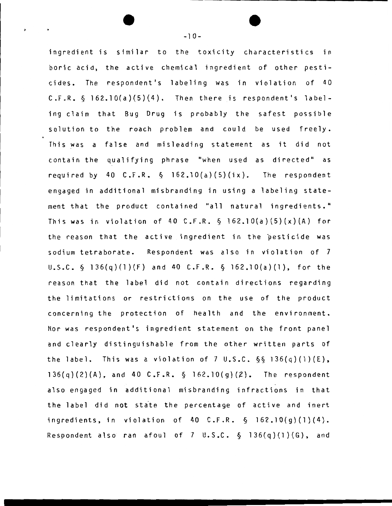ingredient is similar to the toxicity characteristics in boric acid, the active chemical ingredient of other pesticides. The respondent's labeling was in violation of 40  $C.F.R. \S 162.10(a)(5)(4).$  Then there is respondent's labeling claim that Bug Drug is probably the safest possible solution to the roach problem and could be used freely. This was a false and misleading statement as it did not contain the qualifying phrase "when used as directed" as required by 40 C.F.R.  $\S$  162.10(a)(5)(ix). The respondent engaged in additional misbranding in using a labeling statement that the product contained "all natural ingredients." This was in violation of 40 C.F.R.  $\S$  162.10(a)(5)(x)(A) for the reason that the active ingredient in the pesticide was sodium tetraborate. Respondent was also in violation of 7 U.S.C. § 136{q}(l)(F) and 40 C.F.R. § l62.10(a)(l), for the reason that the label did not contain directions regarding the limitations or restrictions on the use of the product concerning the protection of health and the environment. Nor was respondent's ingredient statement on the front panel and clearly distinguishable from the other written parts of the label. This was a violation of 7 U.S.C.  $\S$ § 136(q)(1)(E),  $136(q)(2)(A)$ , and 40 C.F.R.  $\S$  162.10(g)(2). The respondent also engaged in additional misbranding infractions in that the label did not state the percentage of active and inert ingredients, in violation of 40 C.F.R. § 162.10(g)(l)(4). Respondent also ran afoul of 7 U.S.C.  $\S$  136(q)(1)(G), and

-10-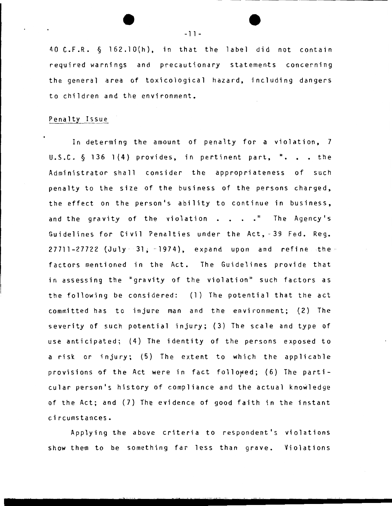40 C.F.R. § 162.10{h), in that the label did not contain required warnings and precautionary statements concerning the general area of toxicological hazard, including dangers to children and the environment.

## Penalty Issue

In determing the amount of penalty for a violation, 7  $U.S.C. \S 136 1(4)$  provides, in pertinent part, ". . . the Administrator shall consider the appropriateness of such penalty to the size of the business of the persons charged, the effect on the person's ability to continue in business, and the gravity of the violation  $\cdot \cdot \cdot \cdot$  The Agency's Guidelines for Civil Penalties under the Act, - 39 Fed. Reg.  $27711-27722$  (July  $-31$ ;  $-1974$ ), expand upon and refine the factors mentioned in the Act. The Guidelines provide that in assessing the "gravity of the violation" such factors as the following be considered: (1) The potential that the act committed has to injure man and the environment; (2) The severity of such potential injury; (3) The scale and type of use anticipated; (4) The identity of the persons exposed to a risk or injury; (5) The extent to which the applicable provisions of the Act were in fact followed; (6) The particular person's history of compliance and the actual knowledge of the Act; and (7) The evidence of good faith in the instant circumstances.

Applying the above criteria to respondent's violations show them to be something far less than grave. Violations

 $-11-$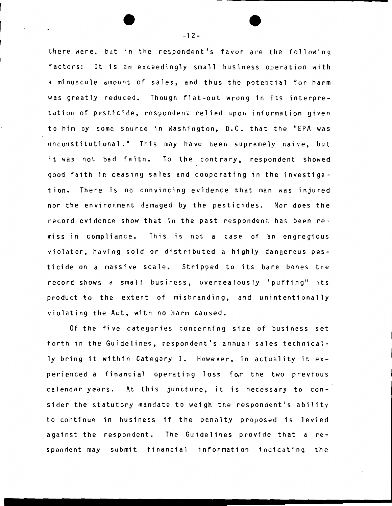there were. but in the respondent's favor are the following factors: It is an exceedingly small business operation with a minuscule amount of sales, and thus the potential for harm was greatly reduced. Though flat-out wrong in its interpretation of pesticide, respondent relied upon information given to him by some source in Washington, D.C. that the "EPA was unconstitutional." This may have been supremely naive, but it was not bad faith. To the contrary, respondent showed good faith in ceasing sales and cooperating in the investigation. There is no convincing evidence that man was injured nor the environment damaged by the pesticides. Nor does the record evidence show that in the past respondent has been remiss in compliance. This is not a case of an engregious violator, having sold or distributed a highly dangerous pesticide on a massive scale. Stripped to its bare bones the record shows a small business, overzealously "puffing" its product to the extent of misbranding, and unintentionally violating the Act, with no harm caused.

Of the five categories concerning size of business set forth in the Guidelines, respondent's annual sales technically bring it within Category I. However, in actuality it experienced a financial operating loss for the two previous calendar years. At this juncture, it is necessary to consider the statutory mandate to weigh the respondent's ability to continue in business if the penalty proposed is levied against the respondent. The Guidelines provide that a respondent may submit financial information indicating the

 $-12-$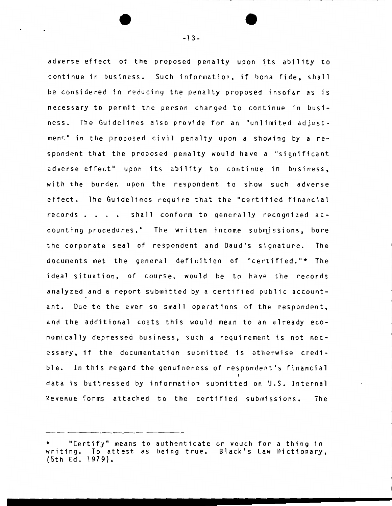adverse effect of the proposed penalty upon its ability to continue in business. Such information, if bona fide, shall be considered in reducing the penalty proposed insofar as is necessary to permit the person charged to continue in business. The Guidelines also provide for an "unlimited adjustment" in the proposed civil penalty upon a showing by a respondent that the proposed penalty would have a "significant adverse effect" upon its ability to continue in business, with the burden upon the respondent to show such adverse effect. The Guidelines require that the "certified financial records . . . . shall conform to generally recognized accounting procedures." The written income submjssions, bore the corporate seal of respondent and Daud•s signature. The documents met the general definition of "certified."\* The ideal situation, of course, would be to have the records analyzed and a report submitted by a certified public accountant. Due to the ever so small operations of the respondent, and the additional costs this would mean to an already economically depressed business, such a requirement is not neeessary, if the documentation submitted is otherwise credible. In this regard the genuineness of respondent's financial data is buttressed by information submitted on U.S. Internal Revenue forms attached to the certified submissions. The

<sup>&</sup>quot;Certify" means to authenticate or vouch for a thing in writing. To attest as being true. Black•s Law Dictionary, (5th Ed. 1979).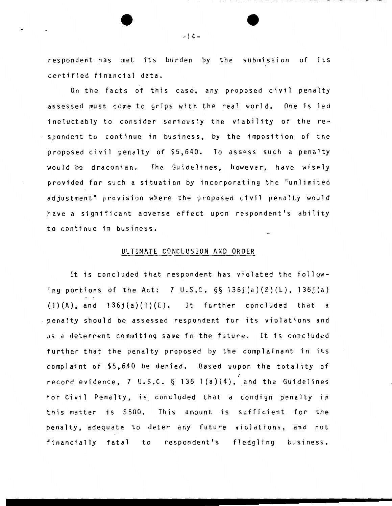respondent has met its burden by the submission of its certified financial data.

On the facts of this case, any proposed civil penalty assessed must come to grips with the real world. One is led ineluctably to consider seriously the viability of the respondent to continue in business, by the imposition of the proposed civil penalty of \$5,640. To assess such a penalty would be draconian. The Guidelines, however, have wisely provided for such a situation by incorporating the "unlimited adjustment" provision where the proposed civil penalty would have a significant adverse effect upon respondent's ability to continue in business.

## ULTIMATE CONCLUSION AND ORDER

It is concluded that respondent has violated the following portions of the Act: 7  $U.S.C. S\S 136j(a)(2)(L)$ , 136 $j(a)$  $(1)(A)$ , and  $136j(a)(1)(E)$ . It further concluded that a penalty should be assessed respondent for its violations and as a deterrent commiting same in the future. It is concluded further that the penalty proposed by the complainant in its complaint of \$5,640 be denied. Based uupon the totality of record evidence, 7 U.S.C. § 136 l(a)(4}, and the Guidelines for Civil Penalty, is concluded that a condign penalty in this matter is \$500. This amount is sufficient for the penalty, adequate to deter any future violations, and not financially fatal to respondent's fledgling business.